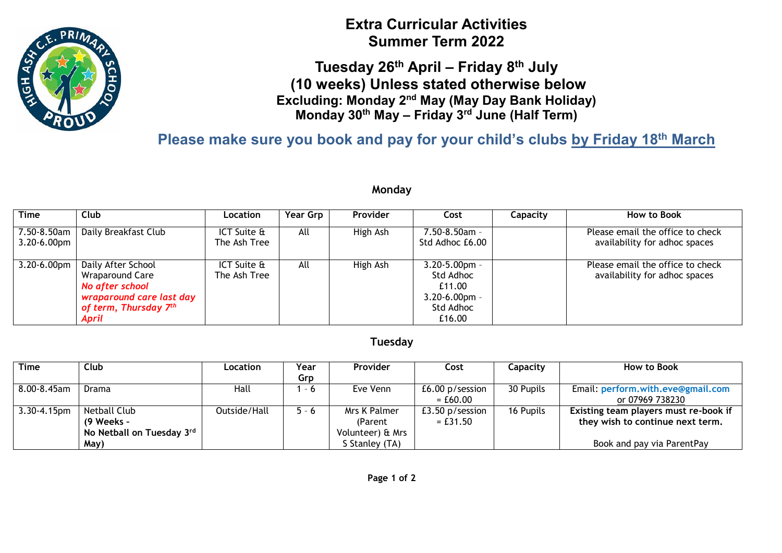

# **Extra Curricular Activities Summer Term 2022**

**Tuesday 26th April – Friday 8 th July (10 weeks) Unless stated otherwise below Excluding: Monday 2nd May (May Day Bank Holiday) Monday 30th May – Friday 3rd June (Half Term)**

**Please make sure you book and pay for your child's clubs by Friday 18th March**

#### **Monday**

| <b>Time</b>                     | <b>Club</b>                                                                                                                               | Location                    | <b>Year Grp</b> | <b>Provider</b> | Cost                                                                                   | Capacity | How to Book                                                       |
|---------------------------------|-------------------------------------------------------------------------------------------------------------------------------------------|-----------------------------|-----------------|-----------------|----------------------------------------------------------------------------------------|----------|-------------------------------------------------------------------|
| 7.50-8.50am<br>$3.20 - 6.00$ pm | Daily Breakfast Club                                                                                                                      | ICT Suite &<br>The Ash Tree | All             | High Ash        | 7.50-8.50am -<br>Std Adhoc £6.00                                                       |          | Please email the office to check<br>availability for adhoc spaces |
| 3.20-6.00pm                     | Daily After School<br><b>Wraparound Care</b><br>No after school<br>wraparound care last day<br>of term, Thursday 7 <sup>th</sup><br>April | ICT Suite &<br>The Ash Tree | All             | High Ash        | $3.20 - 5.00$ pm -<br>Std Adhoc<br>£11.00<br>$3.20 - 6.00$ pm -<br>Std Adhoc<br>£16.00 |          | Please email the office to check<br>availability for adhoc spaces |

### **Tuesday**

| <b>Time</b>      | Club                      | Location     | Year    | <b>Provider</b>  | Cost            | Capacity  | How to Book                           |
|------------------|---------------------------|--------------|---------|------------------|-----------------|-----------|---------------------------------------|
|                  |                           |              | Grp     |                  |                 |           |                                       |
| 8.00-8.45am      | Drama                     | Hall         | - 6     | Eve Venn         | £6.00 p/session | 30 Pupils | Email: perform.with.eve@gmail.com     |
|                  |                           |              |         |                  | $= £60.00$      |           | or 07969 738230                       |
| $3.30 - 4.15$ pm | <b>Netball Club</b>       | Outside/Hall | $5 - 6$ | Mrs K Palmer     | £3.50 p/session | 16 Pupils | Existing team players must re-book if |
|                  | (9 Weeks -                |              |         | (Parent)         | $=$ £31.50      |           | they wish to continue next term.      |
|                  | No Netball on Tuesday 3rd |              |         | Volunteer) & Mrs |                 |           |                                       |
|                  | May)                      |              |         | S Stanley (TA)   |                 |           | Book and pay via ParentPay            |